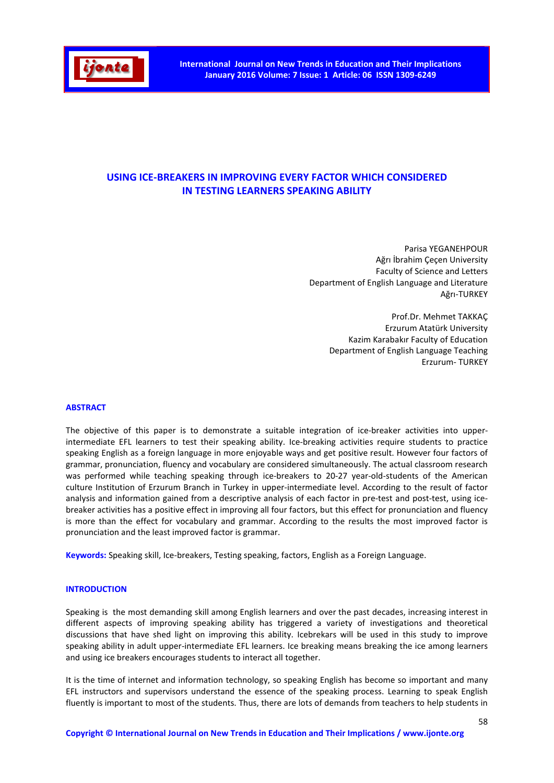

# USING ICE-BREAKERS IN IMPROVING EVERY FACTOR WHICH CONSIDERED IN TESTING LEARNERS SPEAKING ABILITY

Parisa YEGANEHPOUR Ağrı İbrahim Çeçen University Faculty of Science and Letters Department of English Language and Literature Ağrı-TURKEY

> Prof.Dr. Mehmet TAKKAÇ Erzurum Atatürk University Kazim Karabakır Faculty of Education Department of English Language Teaching Erzurum- TURKEY

#### ABSTRACT

The objective of this paper is to demonstrate a suitable integration of ice-breaker activities into upperintermediate EFL learners to test their speaking ability. Ice-breaking activities require students to practice speaking English as a foreign language in more enjoyable ways and get positive result. However four factors of grammar, pronunciation, fluency and vocabulary are considered simultaneously. The actual classroom research was performed while teaching speaking through ice-breakers to 20-27 year-old-students of the American culture Institution of Erzurum Branch in Turkey in upper-intermediate level. According to the result of factor analysis and information gained from a descriptive analysis of each factor in pre-test and post-test, using icebreaker activities has a positive effect in improving all four factors, but this effect for pronunciation and fluency is more than the effect for vocabulary and grammar. According to the results the most improved factor is pronunciation and the least improved factor is grammar.

Keywords: Speaking skill, Ice-breakers, Testing speaking, factors, English as a Foreign Language.

## **INTRODUCTION**

Speaking is the most demanding skill among English learners and over the past decades, increasing interest in different aspects of improving speaking ability has triggered a variety of investigations and theoretical discussions that have shed light on improving this ability. Icebrekars will be used in this study to improve speaking ability in adult upper-intermediate EFL learners. Ice breaking means breaking the ice among learners and using ice breakers encourages students to interact all together.

It is the time of internet and information technology, so speaking English has become so important and many EFL instructors and supervisors understand the essence of the speaking process. Learning to speak English fluently is important to most of the students. Thus, there are lots of demands from teachers to help students in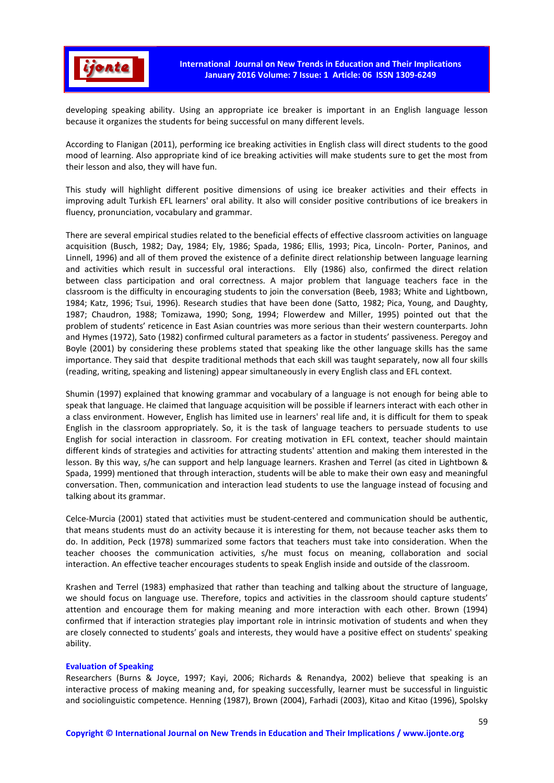

developing speaking ability. Using an appropriate ice breaker is important in an English language lesson because it organizes the students for being successful on many different levels.

According to Flanigan (2011), performing ice breaking activities in English class will direct students to the good mood of learning. Also appropriate kind of ice breaking activities will make students sure to get the most from their lesson and also, they will have fun.

This study will highlight different positive dimensions of using ice breaker activities and their effects in improving adult Turkish EFL learners' oral ability. It also will consider positive contributions of ice breakers in fluency, pronunciation, vocabulary and grammar.

There are several empirical studies related to the beneficial effects of effective classroom activities on language acquisition (Busch, 1982; Day, 1984; Ely, 1986; Spada, 1986; Ellis, 1993; Pica, Lincoln- Porter, Paninos, and Linnell, 1996) and all of them proved the existence of a definite direct relationship between language learning and activities which result in successful oral interactions. Elly (1986) also, confirmed the direct relation between class participation and oral correctness. A major problem that language teachers face in the classroom is the difficulty in encouraging students to join the conversation (Beeb, 1983; White and Lightbown, 1984; Katz, 1996; Tsui, 1996). Research studies that have been done (Satto, 1982; Pica, Young, and Daughty, 1987; Chaudron, 1988; Tomizawa, 1990; Song, 1994; Flowerdew and Miller, 1995) pointed out that the problem of students' reticence in East Asian countries was more serious than their western counterparts. John and Hymes (1972), Sato (1982) confirmed cultural parameters as a factor in students' passiveness. Peregoy and Boyle (2001) by considering these problems stated that speaking like the other language skills has the same importance. They said that despite traditional methods that each skill was taught separately, now all four skills (reading, writing, speaking and listening) appear simultaneously in every English class and EFL context.

Shumin (1997) explained that knowing grammar and vocabulary of a language is not enough for being able to speak that language. He claimed that language acquisition will be possible if learners interact with each other in a class environment. However, English has limited use in learners' real life and, it is difficult for them to speak English in the classroom appropriately. So, it is the task of language teachers to persuade students to use English for social interaction in classroom. For creating motivation in EFL context, teacher should maintain different kinds of strategies and activities for attracting students' attention and making them interested in the lesson. By this way, s/he can support and help language learners. Krashen and Terrel (as cited in Lightbown & Spada, 1999) mentioned that through interaction, students will be able to make their own easy and meaningful conversation. Then, communication and interaction lead students to use the language instead of focusing and talking about its grammar.

Celce-Murcia (2001) stated that activities must be student-centered and communication should be authentic, that means students must do an activity because it is interesting for them, not because teacher asks them to do. In addition, Peck (1978) summarized some factors that teachers must take into consideration. When the teacher chooses the communication activities, s/he must focus on meaning, collaboration and social interaction. An effective teacher encourages students to speak English inside and outside of the classroom.

Krashen and Terrel (1983) emphasized that rather than teaching and talking about the structure of language, we should focus on language use. Therefore, topics and activities in the classroom should capture students' attention and encourage them for making meaning and more interaction with each other. Brown (1994) confirmed that if interaction strategies play important role in intrinsic motivation of students and when they are closely connected to students' goals and interests, they would have a positive effect on students' speaking ability.

#### Evaluation of Speaking

Researchers (Burns & Joyce, 1997; Kayi, 2006; Richards & Renandya, 2002) believe that speaking is an interactive process of making meaning and, for speaking successfully, learner must be successful in linguistic and sociolinguistic competence. Henning (1987), Brown (2004), Farhadi (2003), Kitao and Kitao (1996), Spolsky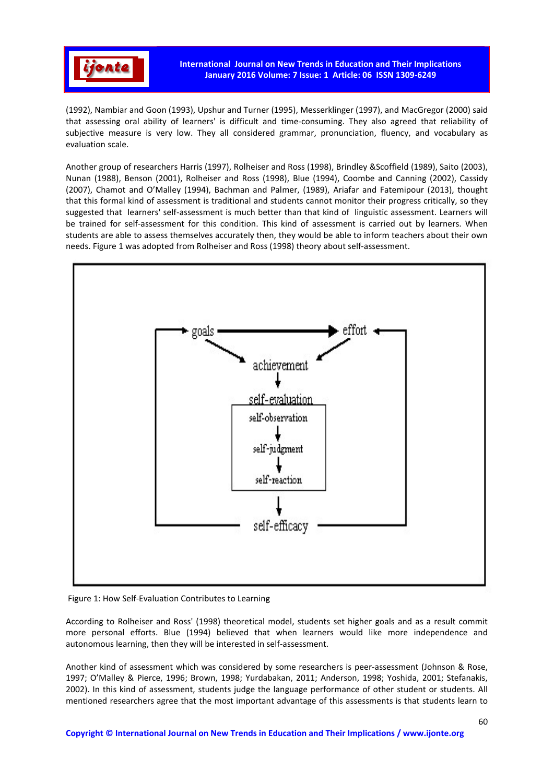

(1992), Nambiar and Goon (1993), Upshur and Turner (1995), Messerklinger (1997), and MacGregor (2000) said that assessing oral ability of learners' is difficult and time-consuming. They also agreed that reliability of subjective measure is very low. They all considered grammar, pronunciation, fluency, and vocabulary as evaluation scale.

Another group of researchers Harris (1997), Rolheiser and Ross (1998), Brindley &Scoffield (1989), Saito (2003), Nunan (1988), Benson (2001), Rolheiser and Ross (1998), Blue (1994), Coombe and Canning (2002), Cassidy (2007), Chamot and O'Malley (1994), Bachman and Palmer, (1989), Ariafar and Fatemipour (2013), thought that this formal kind of assessment is traditional and students cannot monitor their progress critically, so they suggested that learners' self-assessment is much better than that kind of linguistic assessment. Learners will be trained for self-assessment for this condition. This kind of assessment is carried out by learners. When students are able to assess themselves accurately then, they would be able to inform teachers about their own needs. Figure 1 was adopted from Rolheiser and Ross (1998) theory about self-assessment.



Figure 1: How Self-Evaluation Contributes to Learning

According to Rolheiser and Ross' (1998) theoretical model, students set higher goals and as a result commit more personal efforts. Blue (1994) believed that when learners would like more independence and autonomous learning, then they will be interested in self-assessment.

Another kind of assessment which was considered by some researchers is peer-assessment (Johnson & Rose, 1997; O'Malley & Pierce, 1996; Brown, 1998; Yurdabakan, 2011; Anderson, 1998; Yoshida, 2001; Stefanakis, 2002). In this kind of assessment, students judge the language performance of other student or students. All mentioned researchers agree that the most important advantage of this assessments is that students learn to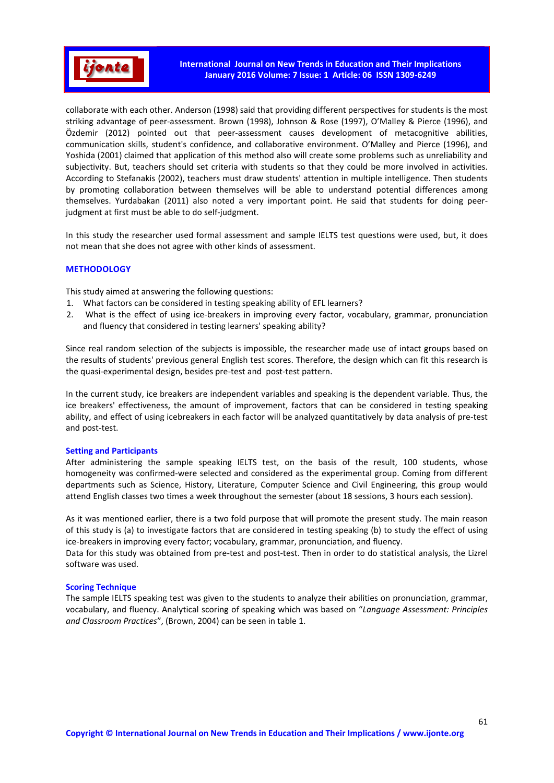

collaborate with each other. Anderson (1998) said that providing different perspectives for students is the most striking advantage of peer-assessment. Brown (1998), Johnson & Rose (1997), O'Malley & Pierce (1996), and Özdemir (2012) pointed out that peer-assessment causes development of metacognitive abilities, communication skills, student's confidence, and collaborative environment. O'Malley and Pierce (1996), and Yoshida (2001) claimed that application of this method also will create some problems such as unreliability and subjectivity. But, teachers should set criteria with students so that they could be more involved in activities. According to Stefanakis (2002), teachers must draw students' attention in multiple intelligence. Then students by promoting collaboration between themselves will be able to understand potential differences among themselves. Yurdabakan (2011) also noted a very important point. He said that students for doing peerjudgment at first must be able to do self-judgment.

In this study the researcher used formal assessment and sample IELTS test questions were used, but, it does not mean that she does not agree with other kinds of assessment.

# **METHODOLOGY**

This study aimed at answering the following questions:

- 1. What factors can be considered in testing speaking ability of EFL learners?
- 2. What is the effect of using ice-breakers in improving every factor, vocabulary, grammar, pronunciation and fluency that considered in testing learners' speaking ability?

Since real random selection of the subjects is impossible, the researcher made use of intact groups based on the results of students' previous general English test scores. Therefore, the design which can fit this research is the quasi-experimental design, besides pre-test and post-test pattern.

In the current study, ice breakers are independent variables and speaking is the dependent variable. Thus, the ice breakers' effectiveness, the amount of improvement, factors that can be considered in testing speaking ability, and effect of using icebreakers in each factor will be analyzed quantitatively by data analysis of pre-test and post-test.

#### Setting and Participants

After administering the sample speaking IELTS test, on the basis of the result, 100 students, whose homogeneity was confirmed-were selected and considered as the experimental group. Coming from different departments such as Science, History, Literature, Computer Science and Civil Engineering, this group would attend English classes two times a week throughout the semester (about 18 sessions, 3 hours each session).

As it was mentioned earlier, there is a two fold purpose that will promote the present study. The main reason of this study is (a) to investigate factors that are considered in testing speaking (b) to study the effect of using ice-breakers in improving every factor; vocabulary, grammar, pronunciation, and fluency.

Data for this study was obtained from pre-test and post-test. Then in order to do statistical analysis, the Lizrel software was used.

#### Scoring Technique

The sample IELTS speaking test was given to the students to analyze their abilities on pronunciation, grammar, vocabulary, and fluency. Analytical scoring of speaking which was based on "*Language Assessment: Principles and Classroom Practices*", (Brown, 2004) can be seen in table 1.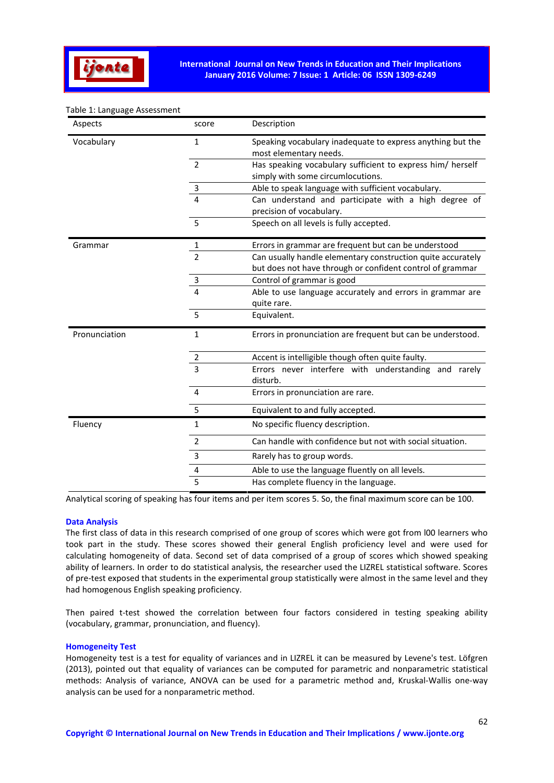

## Table 1: Language Assessment

| Aspects       | score          | Description                                                                                                              |  |  |  |  |  |
|---------------|----------------|--------------------------------------------------------------------------------------------------------------------------|--|--|--|--|--|
| Vocabulary    | 1              | Speaking vocabulary inadequate to express anything but the<br>most elementary needs.                                     |  |  |  |  |  |
|               | $\overline{2}$ | Has speaking vocabulary sufficient to express him/ herself<br>simply with some circumlocutions.                          |  |  |  |  |  |
|               | 3              | Able to speak language with sufficient vocabulary.                                                                       |  |  |  |  |  |
|               | 4              | Can understand and participate with a high degree of<br>precision of vocabulary.                                         |  |  |  |  |  |
|               | 5              | Speech on all levels is fully accepted.                                                                                  |  |  |  |  |  |
| Grammar       | 1              | Errors in grammar are frequent but can be understood                                                                     |  |  |  |  |  |
|               | $\overline{2}$ | Can usually handle elementary construction quite accurately<br>but does not have through or confident control of grammar |  |  |  |  |  |
|               | 3              | Control of grammar is good                                                                                               |  |  |  |  |  |
|               | 4              | Able to use language accurately and errors in grammar are                                                                |  |  |  |  |  |
|               |                | quite rare.                                                                                                              |  |  |  |  |  |
|               | 5              | Equivalent.                                                                                                              |  |  |  |  |  |
| Pronunciation | 1              | Errors in pronunciation are frequent but can be understood.                                                              |  |  |  |  |  |
|               |                | Accent is intelligible though often quite faulty.                                                                        |  |  |  |  |  |
|               | $rac{2}{3}$    | Errors never interfere with understanding and rarely<br>disturb.                                                         |  |  |  |  |  |
|               | 4              | Errors in pronunciation are rare.                                                                                        |  |  |  |  |  |
|               | 5              | Equivalent to and fully accepted.                                                                                        |  |  |  |  |  |
| Fluency       | 1              | No specific fluency description.                                                                                         |  |  |  |  |  |
|               | $\overline{2}$ | Can handle with confidence but not with social situation.                                                                |  |  |  |  |  |
|               | 3              | Rarely has to group words.                                                                                               |  |  |  |  |  |
|               | 4              | Able to use the language fluently on all levels.                                                                         |  |  |  |  |  |
|               | 5              | Has complete fluency in the language.                                                                                    |  |  |  |  |  |

Analytical scoring of speaking has four items and per item scores 5. So, the final maximum score can be 100.

#### Data Analysis

The first class of data in this research comprised of one group of scores which were got from l00 learners who took part in the study. These scores showed their general English proficiency level and were used for calculating homogeneity of data. Second set of data comprised of a group of scores which showed speaking ability of learners. In order to do statistical analysis, the researcher used the LIZREL statistical software. Scores of pre-test exposed that students in the experimental group statistically were almost in the same level and they had homogenous English speaking proficiency.

Then paired t-test showed the correlation between four factors considered in testing speaking ability (vocabulary, grammar, pronunciation, and fluency).

#### Homogeneity Test

Homogeneity test is a test for equality of variances and in LIZREL it can be measured by Levene's test. Löfgren (2013), pointed out that equality of variances can be computed for parametric and nonparametric statistical methods: Analysis of variance, ANOVA can be used for a parametric method and, Kruskal-Wallis one-way analysis can be used for a nonparametric method.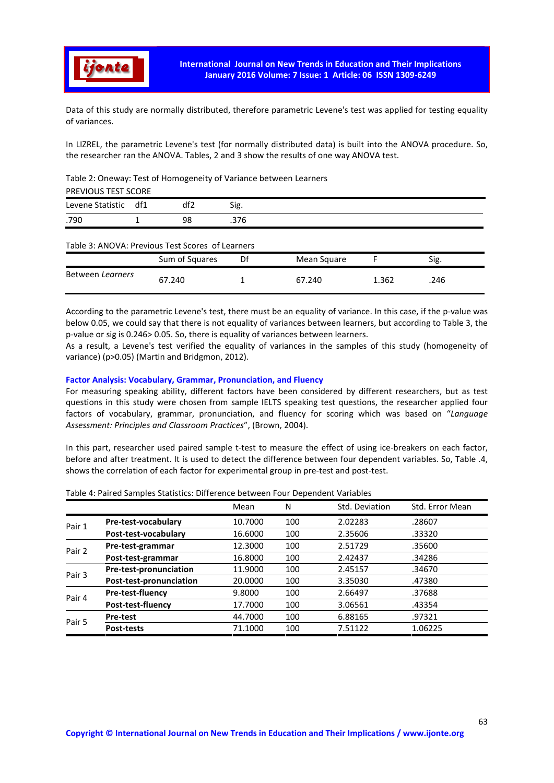

Data of this study are normally distributed, therefore parametric Levene's test was applied for testing equality of variances.

In LIZREL, the parametric Levene's test (for normally distributed data) is built into the ANOVA procedure. So, the researcher ran the ANOVA. Tables, 2 and 3 show the results of one way ANOVA test.

# Table 2: Oneway: Test of Homogeneity of Variance between Learners

| Levene Statistic | df1 | df2 | Sig. |  |  |
|------------------|-----|-----|------|--|--|
| .790             |     | 98  | .376 |  |  |

# Table 3: ANOVA: Previous Test Scores of Learners

|                  | Sum of Squares | Df | Mean Square |       | Sig. |
|------------------|----------------|----|-------------|-------|------|
| Between Learners | 67.240         |    | 67.240      | 1.362 | .246 |

According to the parametric Levene's test, there must be an equality of variance. In this case, if the p-value was below 0.05, we could say that there is not equality of variances between learners, but according to Table 3, the p-value or sig is 0.246> 0.05. So, there is equality of variances between learners.

As a result, a Levene's test verified the equality of variances in the samples of this study (homogeneity of variance) (p>0.05) (Martin and Bridgmon, 2012).

# Factor Analysis: Vocabulary, Grammar, Pronunciation, and Fluency

For measuring speaking ability, different factors have been considered by different researchers, but as test questions in this study were chosen from sample IELTS speaking test questions, the researcher applied four factors of vocabulary, grammar, pronunciation, and fluency for scoring which was based on "*Language Assessment: Principles and Classroom Practices*", (Brown, 2004).

In this part, researcher used paired sample t-test to measure the effect of using ice-breakers on each factor, before and after treatment. It is used to detect the difference between four dependent variables. So, Table .4, shows the correlation of each factor for experimental group in pre-test and post-test.

|        |                         | Mean    | N   | Std. Deviation | Std. Error Mean |
|--------|-------------------------|---------|-----|----------------|-----------------|
| Pair 1 | Pre-test-vocabulary     | 10.7000 | 100 | 2.02283        | .28607          |
|        | Post-test-vocabulary    | 16.6000 | 100 | 2.35606        | .33320          |
| Pair 2 | Pre-test-grammar        | 12.3000 | 100 | 2.51729        | .35600          |
|        | Post-test-grammar       | 16.8000 | 100 | 2.42437        | .34286          |
| Pair 3 | Pre-test-pronunciation  | 11.9000 | 100 | 2.45157        | .34670          |
|        | Post-test-pronunciation | 20.0000 | 100 | 3.35030        | .47380          |
| Pair 4 | Pre-test-fluency        | 9.8000  | 100 | 2.66497        | .37688          |
|        | Post-test-fluency       | 17.7000 | 100 | 3.06561        | .43354          |
|        | <b>Pre-test</b>         | 44.7000 | 100 | 6.88165        | .97321          |
| Pair 5 | <b>Post-tests</b>       | 71.1000 | 100 | 7.51122        | 1.06225         |

Table 4: Paired Samples Statistics: Difference between Four Dependent Variables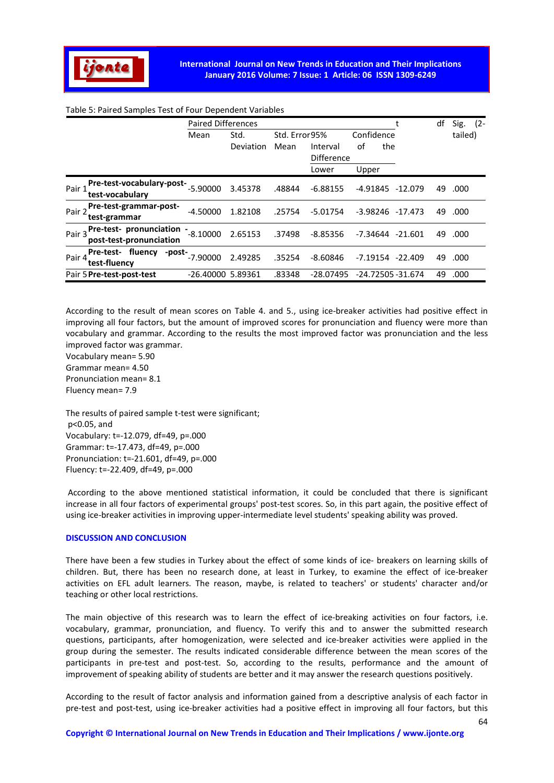

#### Table 5: Paired Samples Test of Four Dependent Variables

|                                                              | <b>Paired Differences</b> |           |                |                               |                         | df | Sig.<br>$(2 -$ |
|--------------------------------------------------------------|---------------------------|-----------|----------------|-------------------------------|-------------------------|----|----------------|
|                                                              | Mean                      | Std.      | Std. Error 95% |                               | Confidence              |    | tailed)        |
|                                                              |                           | Deviation | Mean           | Interval<br><b>Difference</b> | οf<br>the               |    |                |
|                                                              |                           |           |                | Lower                         | Upper                   |    |                |
| Pre-test-vocabulary-post-<br>Pair:<br>test-vocabulary        | $-5.90000$                | 3.45378   | .48844         | $-6.88155$                    | -4.91845<br>-12.079     | 49 | .000           |
| Pre-test-grammar-post-<br>Pair 2<br>test-grammar             | $-4.50000$                | 1.82108   | .25754         | $-5.01754$                    | $-3.98246$<br>$-17.473$ | 49 | .000           |
| Pre-test- pronunciation<br>Pair 3<br>post-test-pronunciation | $-8.10000$                | 2.65153   | .37498         | $-8.85356$                    | $-21.601$<br>-7.34644   | 49 | .000           |
| fluency<br>Pre-test-<br>-post-<br>Pair 4<br>test-fluency     | $-7.90000$                | 2.49285   | .35254         | $-8.60846$                    | $-7.19154$<br>$-22.409$ | 49 | .000           |
| Pair 5 Pre-test-post-test                                    | -26.40000 5.89361         |           | .83348         | $-28.07495$                   | -24.72505 -31.674       | 49 | .000           |

According to the result of mean scores on Table 4. and 5., using ice-breaker activities had positive effect in improving all four factors, but the amount of improved scores for pronunciation and fluency were more than vocabulary and grammar. According to the results the most improved factor was pronunciation and the less improved factor was grammar.

Vocabulary mean= 5.90 Grammar mean= 4.50 Pronunciation mean= 8.1 Fluency mean= 7.9

The results of paired sample t-test were significant; p<0.05, and Vocabulary: t=-12.079, df=49, p=.000 Grammar: t=-17.473, df=49, p=.000 Pronunciation: t=-21.601, df=49, p=.000 Fluency: t=-22.409, df=49, p=.000

 According to the above mentioned statistical information, it could be concluded that there is significant increase in all four factors of experimental groups' post-test scores. So, in this part again, the positive effect of using ice-breaker activities in improving upper-intermediate level students' speaking ability was proved.

#### DISCUSSION AND CONCLUSION

There have been a few studies in Turkey about the effect of some kinds of ice- breakers on learning skills of children. But, there has been no research done, at least in Turkey, to examine the effect of ice-breaker activities on EFL adult learners. The reason, maybe, is related to teachers' or students' character and/or teaching or other local restrictions.

The main objective of this research was to learn the effect of ice-breaking activities on four factors, i.e. vocabulary, grammar, pronunciation, and fluency. To verify this and to answer the submitted research questions, participants, after homogenization, were selected and ice-breaker activities were applied in the group during the semester. The results indicated considerable difference between the mean scores of the participants in pre-test and post-test. So, according to the results, performance and the amount of improvement of speaking ability of students are better and it may answer the research questions positively.

According to the result of factor analysis and information gained from a descriptive analysis of each factor in pre-test and post-test, using ice-breaker activities had a positive effect in improving all four factors, but this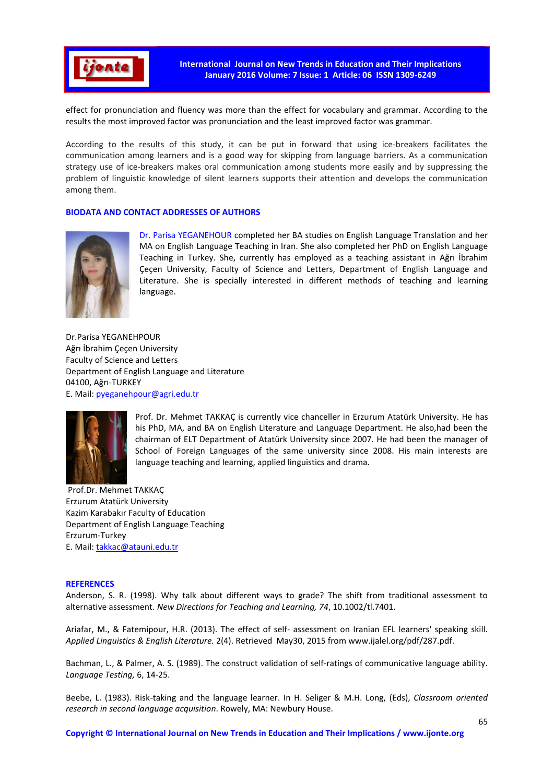

International Journal on New Trends in Education and Their Implications January 2016 Volume: 7 Issue: 1 Article: 06 ISSN 1309-6249

effect for pronunciation and fluency was more than the effect for vocabulary and grammar. According to the results the most improved factor was pronunciation and the least improved factor was grammar.

According to the results of this study, it can be put in forward that using ice-breakers facilitates the communication among learners and is a good way for skipping from language barriers. As a communication strategy use of ice-breakers makes oral communication among students more easily and by suppressing the problem of linguistic knowledge of silent learners supports their attention and develops the communication among them.

# BIODATA AND CONTACT ADDRESSES OF AUTHORS



Dr. Parisa YEGANEHOUR completed her BA studies on English Language Translation and her MA on English Language Teaching in Iran. She also completed her PhD on English Language Teaching in Turkey. She, currently has employed as a teaching assistant in Ağrı İbrahim Çeçen University, Faculty of Science and Letters, Department of English Language and Literature. She is specially interested in different methods of teaching and learning language.

Dr.Parisa YEGANEHPOUR Ağrı İbrahim Çeçen University Faculty of Science and Letters Department of English Language and Literature 04100, Ağrı-TURKEY E. Mail: pyeganehpour@agri.edu.tr



Prof. Dr. Mehmet TAKKAÇ is currently vice chanceller in Erzurum Atatürk University. He has his PhD, MA, and BA on English Literature and Language Department. He also,had been the chairman of ELT Department of Atatürk University since 2007. He had been the manager of School of Foreign Languages of the same university since 2008. His main interests are language teaching and learning, applied linguistics and drama.

 Prof.Dr. Mehmet TAKKAÇ Erzurum Atatürk University Kazim Karabakır Faculty of Education Department of English Language Teaching Erzurum-Turkey E. Mail: takkac@atauni.edu.tr

#### **REFERENCES**

Anderson, S. R. (1998). Why talk about different ways to grade? The shift from traditional assessment to alternative assessment. *New Directions for Teaching and Learning, 74*, 10.1002/tl.7401.

Ariafar, M., & Fatemipour, H.R. (2013). The effect of self- assessment on Iranian EFL learners' speaking skill. *Applied Linguistics & English Literature.* 2(4). Retrieved May30, 2015 from www.ijalel.org/pdf/287.pdf.

Bachman, L., & Palmer, A. S. (1989). The construct validation of self-ratings of communicative language ability. *Language Testing,* 6, 14-25.

Beebe, L. (1983). Risk-taking and the language learner. In H. Seliger & M.H. Long, (Eds), *Classroom oriented research in second language acquisition*. Rowely, MA: Newbury House.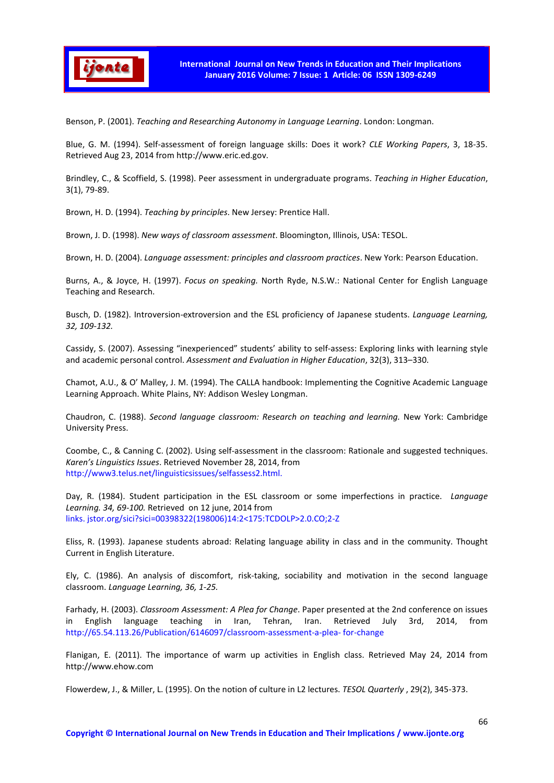

Benson, P. (2001). *Teaching and Researching Autonomy in Language Learning*. London: Longman.

Blue, G. M. (1994). Self-assessment of foreign language skills: Does it work? *CLE Working Papers*, 3, 18-35. Retrieved Aug 23, 2014 from http://www.eric.ed.gov.

Brindley, C., & Scoffield, S. (1998). Peer assessment in undergraduate programs. *Teaching in Higher Education*, 3(1), 79-89.

Brown, H. D. (1994). *Teaching by principles*. New Jersey: Prentice Hall.

Brown, J. D. (1998). *New ways of classroom assessment*. Bloomington, Illinois, USA: TESOL.

Brown, H. D. (2004). *Language assessment: principles and classroom practices*. New York: Pearson Education.

Burns, A., & Joyce, H. (1997). *Focus on speaking.* North Ryde, N.S.W.: National Center for English Language Teaching and Research.

Busch, D. (1982). Introversion-extroversion and the ESL proficiency of Japanese students. *Language Learning, 32, 109-132.*

Cassidy, S. (2007). Assessing "inexperienced" students' ability to self-assess: Exploring links with learning style and academic personal control. *Assessment and Evaluation in Higher Education*, 32(3), 313–330.

Chamot, A.U., & O' Malley, J. M. (1994). The CALLA handbook: Implementing the Cognitive Academic Language Learning Approach. White Plains, NY: Addison Wesley Longman.

Chaudron, C. (1988). *Second language classroom: Research on teaching and learning.* New York: Cambridge University Press.

Coombe, C., & Canning C. (2002). Using self-assessment in the classroom: Rationale and suggested techniques. *Karen's Linguistics Issues*. Retrieved November 28, 2014, from http://www3.telus.net/linguisticsissues/selfassess2.html.

Day, R. (1984). Student participation in the ESL classroom or some imperfections in practice. *Language Learning. 34, 69-100.* Retrieved on 12 june, 2014 from links. jstor.org/sici?sici=00398322(198006)14:2<175:TCDOLP>2.0.CO;2-Z

Eliss, R. (1993). Japanese students abroad: Relating language ability in class and in the community. Thought Current in English Literature.

Ely, C. (1986). An analysis of discomfort, risk-taking, sociability and motivation in the second language classroom. *Language Learning, 36, 1-25.*

Farhady, H. (2003). *Classroom Assessment: A Plea for Change*. Paper presented at the 2nd conference on issues in English language teaching in Iran, Tehran, Iran. Retrieved July 3rd, 2014, from http://65.54.113.26/Publication/6146097/classroom-assessment-a-plea- for-change

Flanigan, E. (2011). The importance of warm up activities in English class. Retrieved May 24, 2014 from http://www.ehow.com

Flowerdew, J., & Miller, L. (1995). On the notion of culture in L2 lectures. *TESOL Quarterly* , 29(2), 345-373.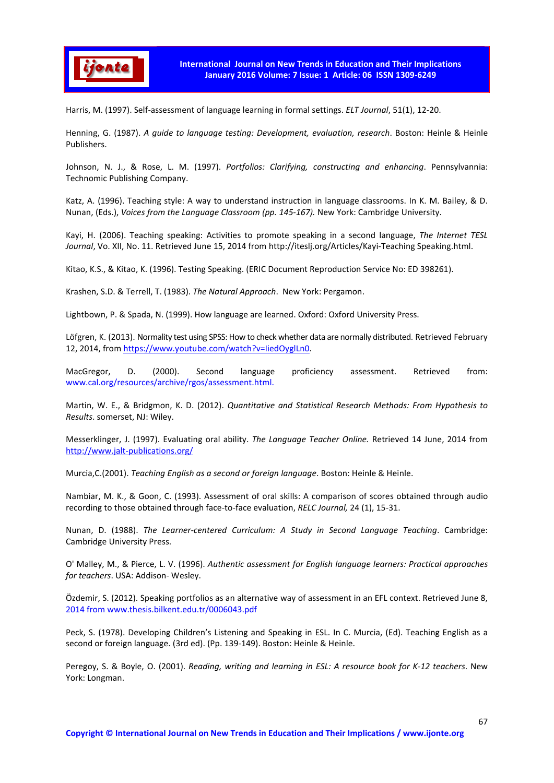

Harris, M. (1997). Self-assessment of language learning in formal settings. *ELT Journal*, 51(1), 12-20.

Henning, G. (1987). *A guide to language testing: Development, evaluation, research*. Boston: Heinle & Heinle Publishers.

Johnson, N. J., & Rose, L. M. (1997). *Portfolios: Clarifying, constructing and enhancing*. Pennsylvannia: Technomic Publishing Company.

Katz, A. (1996). Teaching style: A way to understand instruction in language classrooms. In K. M. Bailey, & D. Nunan, (Eds.), *Voices from the Language Classroom (pp. 145-167).* New York: Cambridge University.

Kayi, H. (2006). Teaching speaking: Activities to promote speaking in a second language, *The Internet TESL Journal*, Vo. XII, No. 11. Retrieved June 15, 2014 from http://iteslj.org/Articles/Kayi-Teaching Speaking.html.

Kitao, K.S., & Kitao, K. (1996). Testing Speaking. (ERIC Document Reproduction Service No: ED 398261).

Krashen, S.D. & Terrell, T. (1983). *The Natural Approach*. New York: Pergamon.

Lightbown, P. & Spada, N. (1999). How language are learned. Oxford: Oxford University Press.

Löfgren, K. (2013). Normality test using SPSS: How to check whether data are normally distributed. Retrieved February 12, 2014, from https://www.youtube.com/watch?v=IiedOyglLn0.

MacGregor, D. (2000). Second language proficiency assessment. Retrieved from: www.cal.org/resources/archive/rgos/assessment.html.

Martin, W. E., & Bridgmon, K. D. (2012). *Quantitative and Statistical Research Methods: From Hypothesis to Results*. somerset, NJ: Wiley.

Messerklinger, J. (1997). Evaluating oral ability. *The Language Teacher Online.* Retrieved 14 June, 2014 from http://www.jalt-publications.org/

Murcia,C.(2001). *Teaching English as a second or foreign language*. Boston: Heinle & Heinle.

Nambiar, M. K., & Goon, C. (1993). Assessment of oral skills: A comparison of scores obtained through audio recording to those obtained through face-to-face evaluation, *RELC Journal,* 24 (1), 15-31.

Nunan, D. (1988). *The Learner-centered Curriculum: A Study in Second Language Teaching*. Cambridge: Cambridge University Press.

O' Malley, M., & Pierce, L. V. (1996). *Authentic assessment for English language learners: Practical approaches for teachers*. USA: Addison- Wesley.

Özdemir, S. (2012). Speaking portfolios as an alternative way of assessment in an EFL context. Retrieved June 8, 2014 from www.thesis.bilkent.edu.tr/0006043.pdf

Peck, S. (1978). Developing Children's Listening and Speaking in ESL. In C. Murcia, (Ed). Teaching English as a second or foreign language. (3rd ed). (Pp. 139-149). Boston: Heinle & Heinle.

Peregoy, S. & Boyle, O. (2001). *Reading, writing and learning in ESL: A resource book for K-12 teachers*. New York: Longman.